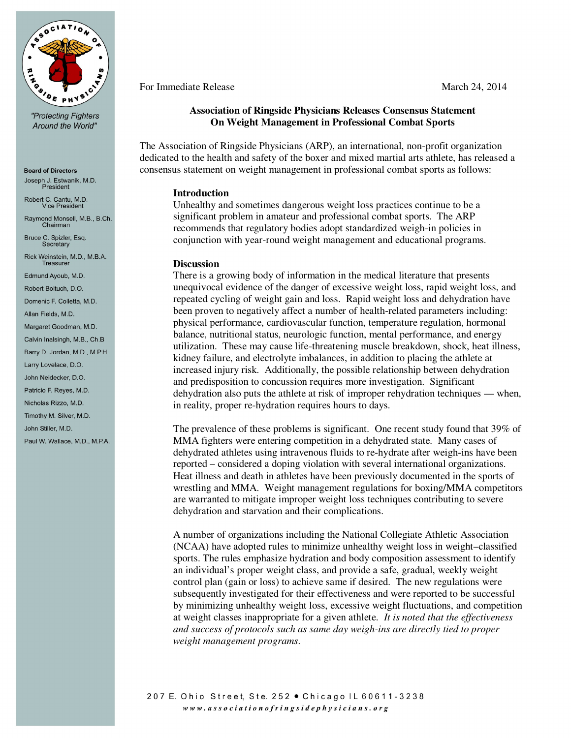

"Protecting Fighters Around the World"

# **Board of Directors** Joseph J. Estwanik, M.D.<br>President

Robert C. Cantu, M.D.<br>Vice President

Raymond Monsell, M.B., B.Ch. Chairman

Bruce C. Spizler, Esg. Secretary

Rick Weinstein, M.D., M.B.A. Treasurer

Edmund Ayoub, M.D. Robert Boltuch, D.O.

Domenic F. Colletta, M.D.

Allan Fields, M.D.

Margaret Goodman, M.D.

Calvin Inalsingh, M.B., Ch.B

Barry D. Jordan, M.D., M.P.H. Larry Lovelace, D.O.

John Neidecker, D.O.

Patricio F. Reyes, M.D.

Nicholas Rizzo, M.D.

Timothy M. Silver, M.D.

John Stiller, M.D.

Paul W. Wallace, M.D., M.P.A.

For Immediate Release March 24, 2014

# **Association of Ringside Physicians Releases Consensus Statement On Weight Management in Professional Combat Sports**

The Association of Ringside Physicians (ARP), an international, non-profit organization dedicated to the health and safety of the boxer and mixed martial arts athlete, has released a consensus statement on weight management in professional combat sports as follows:

# **Introduction**

Unhealthy and sometimes dangerous weight loss practices continue to be a significant problem in amateur and professional combat sports. The ARP recommends that regulatory bodies adopt standardized weigh-in policies in conjunction with year-round weight management and educational programs.

### **Discussion**

There is a growing body of information in the medical literature that presents unequivocal evidence of the danger of excessive weight loss, rapid weight loss, and repeated cycling of weight gain and loss. Rapid weight loss and dehydration have been proven to negatively affect a number of health-related parameters including: physical performance, cardiovascular function, temperature regulation, hormonal balance, nutritional status, neurologic function, mental performance, and energy utilization. These may cause life-threatening muscle breakdown, shock, heat illness, kidney failure, and electrolyte imbalances, in addition to placing the athlete at increased injury risk. Additionally, the possible relationship between dehydration and predisposition to concussion requires more investigation. Significant dehydration also puts the athlete at risk of improper rehydration techniques — when, in reality, proper re-hydration requires hours to days.

The prevalence of these problems is significant. One recent study found that 39% of MMA fighters were entering competition in a dehydrated state. Many cases of dehydrated athletes using intravenous fluids to re-hydrate after weigh-ins have been reported – considered a doping violation with several international organizations. Heat illness and death in athletes have been previously documented in the sports of wrestling and MMA. Weight management regulations for boxing/MMA competitors are warranted to mitigate improper weight loss techniques contributing to severe dehydration and starvation and their complications.

A number of organizations including the National Collegiate Athletic Association (NCAA) have adopted rules to minimize unhealthy weight loss in weight–classified sports. The rules emphasize hydration and body composition assessment to identify an individual's proper weight class, and provide a safe, gradual, weekly weight control plan (gain or loss) to achieve same if desired. The new regulations were subsequently investigated for their effectiveness and were reported to be successful by minimizing unhealthy weight loss, excessive weight fluctuations, and competition at weight classes inappropriate for a given athlete. *It is noted that the effectiveness and success of protocols such as same day weigh-ins are directly tied to proper weight management programs*.